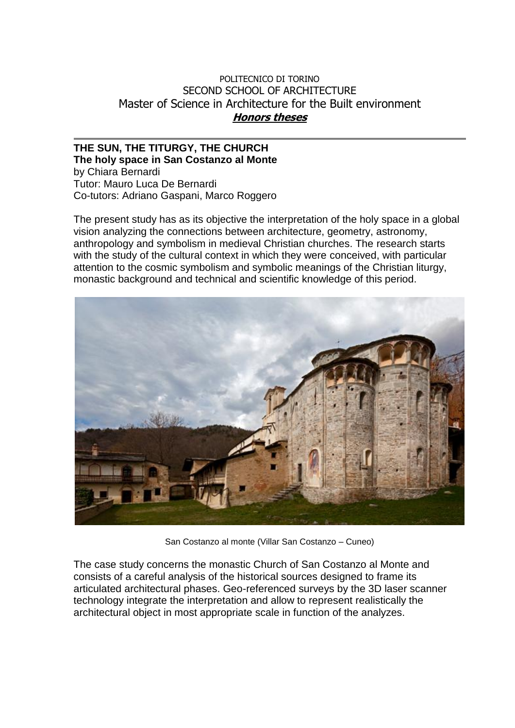## POLITECNICO DI TORINO SECOND SCHOOL OF ARCHITECTURE Master of Science in Architecture for the Built environment **Honors theses**

## **THE SUN, THE TITURGY, THE CHURCH The holy space in San Costanzo al Monte** by Chiara Bernardi Tutor: Mauro Luca De Bernardi Co-tutors: Adriano Gaspani, Marco Roggero

The present study has as its objective the interpretation of the holy space in a global vision analyzing the connections between architecture, geometry, astronomy, anthropology and symbolism in medieval Christian churches. The research starts with the study of the cultural context in which they were conceived, with particular attention to the cosmic symbolism and symbolic meanings of the Christian liturgy, monastic background and technical and scientific knowledge of this period.



San Costanzo al monte (Villar San Costanzo – Cuneo)

The case study concerns the monastic Church of San Costanzo al Monte and consists of a careful analysis of the historical sources designed to frame its articulated architectural phases. Geo-referenced surveys by the 3D laser scanner technology integrate the interpretation and allow to represent realistically the architectural object in most appropriate scale in function of the analyzes.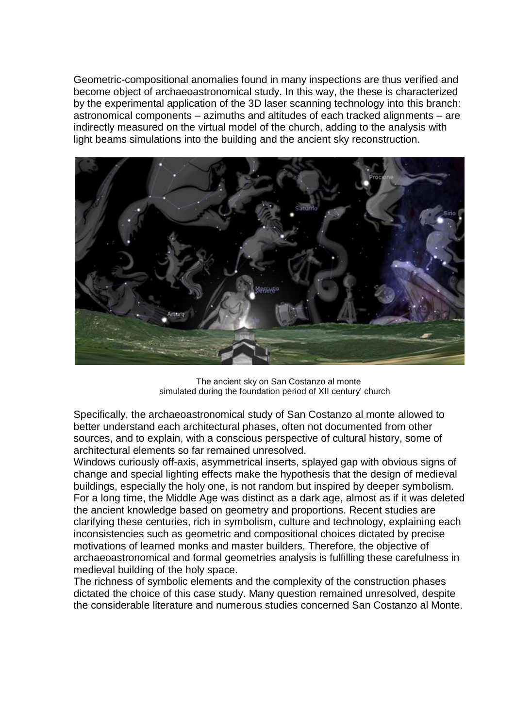Geometric-compositional anomalies found in many inspections are thus verified and become object of archaeoastronomical study. In this way, the these is characterized by the experimental application of the 3D laser scanning technology into this branch: astronomical components – azimuths and altitudes of each tracked alignments – are indirectly measured on the virtual model of the church, adding to the analysis with light beams simulations into the building and the ancient sky reconstruction.



The ancient sky on San Costanzo al monte simulated during the foundation period of XII century' church

Specifically, the archaeoastronomical study of San Costanzo al monte allowed to better understand each architectural phases, often not documented from other sources, and to explain, with a conscious perspective of cultural history, some of architectural elements so far remained unresolved.

Windows curiously off-axis, asymmetrical inserts, splayed gap with obvious signs of change and special lighting effects make the hypothesis that the design of medieval buildings, especially the holy one, is not random but inspired by deeper symbolism. For a long time, the Middle Age was distinct as a dark age, almost as if it was deleted the ancient knowledge based on geometry and proportions. Recent studies are clarifying these centuries, rich in symbolism, culture and technology, explaining each inconsistencies such as geometric and compositional choices dictated by precise motivations of learned monks and master builders. Therefore, the objective of archaeoastronomical and formal geometries analysis is fulfilling these carefulness in medieval building of the holy space.

The richness of symbolic elements and the complexity of the construction phases dictated the choice of this case study. Many question remained unresolved, despite the considerable literature and numerous studies concerned San Costanzo al Monte.